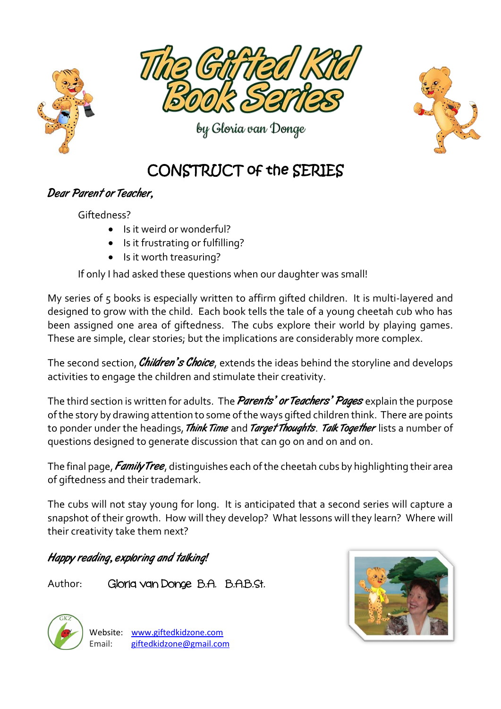



by Gloria van Donge



## CONSTRUCT of the SERIES

## Dear Parent or Teacher,

Giftedness?

- Is it weird or wonderful?
- Is it frustrating or fulfilling?
- Is it worth treasuring?

If only I had asked these questions when our daughter was small!

My series of 5 books is especially written to affirm gifted children. It is multi-layered and designed to grow with the child. Each book tells the tale of a young cheetah cub who has been assigned one area of giftedness. The cubs explore their world by playing games. These are simple, clear stories; but the implications are considerably more complex.

The second section, *Children's Choice*, extends the ideas behind the storyline and develops activities to engage the children and stimulate their creativity.

The third section is written for adults. The *Parents' or Teachers' Pages* explain the purpose of the story by drawing attention to some of the ways gifted children think. There are points to ponder under the headings, Think Time and Target Thoughts. Talk Together lists a number of questions designed to generate discussion that can go on and on and on.

The final page, *Family Tree*, distinguishes each of the cheetah cubs by highlighting their area of giftedness and their trademark.

The cubs will not stay young for long. It is anticipated that a second series will capture a snapshot of their growth. How will they develop? What lessons will they learn? Where will their creativity take them next?

Happy reading, exploring and talking!

Author: Gloria van Donge B.A. B.A.B.St.



Website: [www.giftedkidzone.com](http://www.giftedkidzone.com/) Email: [giftedkidzone@gmail.com](mailto:giftedkidzone@gmail.com)